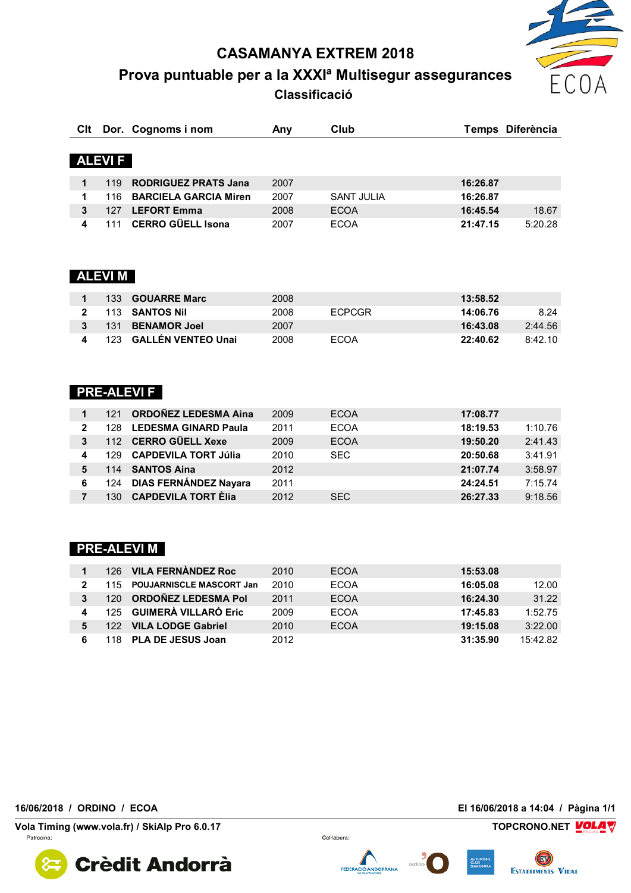**CASAMANYA EXTREM 2018**

**Prova puntuable per a la XXXIª Multisegur assegurances Classificació** 



| CIt |               | Dor. Cognoms i nom           | Any  | Club              | Temps Diferència    |
|-----|---------------|------------------------------|------|-------------------|---------------------|
|     | <b>ALEVIF</b> |                              |      |                   |                     |
|     | 119           | <b>RODRIGUEZ PRATS Jana</b>  | 2007 |                   | 16:26.87            |
|     | 116           | <b>BARCIELA GARCIA Miren</b> | 2007 | <b>SANT JULIA</b> | 16:26.87            |
| 3   | 127           | <b>LEFORT Emma</b>           | 2008 | <b>ECOA</b>       | 18.67<br>16:45.54   |
|     | 111           | <b>CERRO GÜELL Isona</b>     | 2007 | <b>ECOA</b>       | 5:20.28<br>21:47.15 |

## **ALEVI M**

|        |         | 133 <b>GOUARRE Marc</b>   | 2008 |               | 13:58.52 |         |
|--------|---------|---------------------------|------|---------------|----------|---------|
| $\sim$ |         | 113 SANTOS Nil            | 2008 | <b>FCPCGR</b> | 14:06.76 | 8.24    |
|        |         | 131 BENAMOR Joel          | 2007 |               | 16:43.08 | 2:44.56 |
|        | $123 -$ | <b>GALLÉN VENTEO Unai</b> | 2008 | <b>FCOA</b>   | 22:40.62 | 8:42.10 |

## **PRE-ALEVI F**

|              | 121  | <b>ORDOÑEZ LEDESMA Aina</b> | 2009 | <b>ECOA</b> | 17:08.77            |
|--------------|------|-----------------------------|------|-------------|---------------------|
| $\mathbf{2}$ | 128. | <b>LEDESMA GINARD Paula</b> | 2011 | <b>ECOA</b> | 18:19.53<br>1:10.76 |
| 3            |      | 112 CERRO GÜELL Xexe        | 2009 | <b>ECOA</b> | 2:41.43<br>19:50.20 |
|              | 129. | <b>CAPDEVILA TORT Júlia</b> | 2010 | <b>SEC</b>  | 3:41.91<br>20:50.68 |
|              | 114  | <b>SANTOS Aina</b>          | 2012 |             | 3:58.97<br>21:07.74 |
| 6            |      | 124 DIAS FERNÁNDEZ Nayara   | 2011 |             | 7:15.74<br>24:24.51 |
|              | 130  | <b>CAPDEVILA TORT Èlia</b>  | 2012 | <b>SEC</b>  | 9:18.56<br>26:27.33 |

## **PRE-ALEVI M**

|     | 126 VILA FERNANDEZ Roc       | 2010 | <b>ECOA</b> | 15:53.08 |          |
|-----|------------------------------|------|-------------|----------|----------|
|     | 115 POUJARNISCLE MASCORT Jan | 2010 | ECOA        | 16:05.08 | 12.00    |
| 120 | <b>ORDOÑEZ LEDESMA Pol</b>   | 2011 | <b>ECOA</b> | 16:24.30 | 31.22    |
|     | 125 GUIMERÀ VILLARÓ Eric     | 2009 | ECOA        | 17:45.83 | 1:52.75  |
|     | 122 VILA LODGE Gabriel       | 2010 | <b>ECOA</b> | 19:15.08 | 3:22.00  |
|     | 118 PLA DE JESUS Joan        | 2012 |             | 31:35.90 | 15:42.82 |

**16/06/2018 / ORDINO / ECOA El 16/06/2018 a 14:04 / Pàgina 1/1**

**Vola Timing (www.vola.fr) / SkiAlp Pro 6.0.17 TOPCRONO.NET VOLAT** Patrocina



Col·labora:



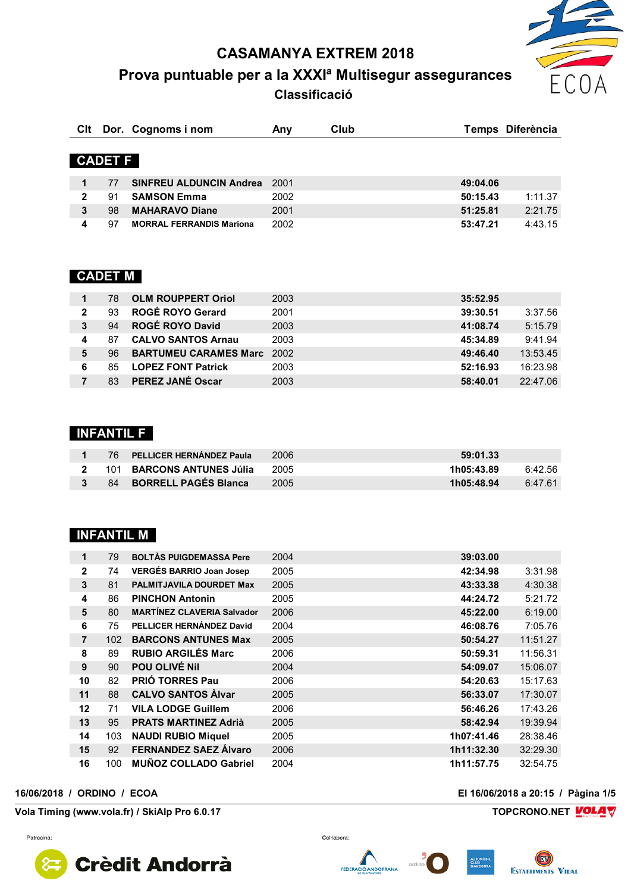**CASAMANYA EXTREM 2018**

**Prova puntuable per a la XXXIª Multisegur assegurances Classificació** 



|    |                                 | Anv                                  | Club                           |          | Temps Diferència |
|----|---------------------------------|--------------------------------------|--------------------------------|----------|------------------|
|    |                                 |                                      |                                |          |                  |
|    |                                 |                                      |                                |          |                  |
| 77 |                                 | 2001                                 |                                | 49:04.06 |                  |
| 91 | <b>SAMSON Emma</b>              | 2002                                 |                                | 50:15.43 | 1:11.37          |
| 98 | <b>MAHARAVO Diane</b>           | 2001                                 |                                | 51:25.81 | 2:21.75          |
| 97 | <b>MORRAL FERRANDIS Mariona</b> | 2002                                 |                                | 53:47.21 | 4:43.15          |
|    |                                 | Dor. Cognoms i nom<br><b>CADET F</b> | <b>SINFREU ALDUNCIN Andrea</b> |          |                  |

## **CADET M**

|                | 78 | <b>OLM ROUPPERT Oriol</b>         | 2003 | 35:52.95 |          |
|----------------|----|-----------------------------------|------|----------|----------|
| $\overline{2}$ | 93 | ROGÉ ROYO Gerard                  | 2001 | 39:30.51 | 3:37.56  |
| 3              | 94 | <b>ROGÉ ROYO David</b>            | 2003 | 41:08.74 | 5:15.79  |
|                | 87 | <b>CALVO SANTOS Arnau</b>         | 2003 | 45:34.89 | 9:41.94  |
| 5              | 96 | <b>BARTUMEU CARAMES Marc</b> 2002 |      | 49:46.40 | 13:53.45 |
| 6              | 85 | <b>LOPEZ FONT Patrick</b>         | 2003 | 52:16.93 | 16:23.98 |
|                | 83 | <b>PEREZ JANÉ Oscar</b>           | 2003 | 58:40.01 | 22:47.06 |

#### **INFANTIL F**

| 76. | <b>PELLICER HERNÁNDEZ Paula</b> | 2006 | 59:01.33   |         |
|-----|---------------------------------|------|------------|---------|
|     | 101 BARCONS ANTUNES Júlia       | 2005 | 1h05:43.89 | 6:42.56 |
| 84  | <b>BORRELL PAGÉS Blanca</b>     | 2005 | 1h05:48.94 | 6:47 61 |

#### **INFANTIL M**

| 1              | 79  | <b>BOLTÀS PUIGDEMASSA Pere</b>    | 2004 | 39:03.00   |          |
|----------------|-----|-----------------------------------|------|------------|----------|
| $\overline{2}$ | 74  | <b>VERGÉS BARRIO Joan Josep</b>   | 2005 | 42:34.98   | 3:31.98  |
| 3              | 81  | <b>PALMITJAVILA DOURDET Max</b>   | 2005 | 43:33.38   | 4:30.38  |
| 4              | 86  | <b>PINCHON Antonin</b>            | 2005 | 44:24.72   | 5:21.72  |
| 5              | 80  | <b>MARTÍNEZ CLAVERIA Salvador</b> | 2006 | 45:22.00   | 6:19.00  |
| 6              | 75  | PELLICER HERNÁNDEZ David          | 2004 | 46:08.76   | 7:05.76  |
| $\overline{7}$ | 102 | <b>BARCONS ANTUNES Max</b>        | 2005 | 50:54.27   | 11:51.27 |
| 8              | 89  | <b>RUBIO ARGILÉS Marc</b>         | 2006 | 50:59.31   | 11:56.31 |
| 9              | 90  | POU OLIVÉ Nil                     | 2004 | 54:09.07   | 15:06.07 |
| 10             | 82  | <b>PRIÓ TORRES Pau</b>            | 2006 | 54:20.63   | 15:17.63 |
| 11             | 88  | <b>CALVO SANTOS Alvar</b>         | 2005 | 56:33.07   | 17:30.07 |
| 12             | 71  | <b>VILA LODGE Guillem</b>         | 2006 | 56:46.26   | 17:43.26 |
| 13             | 95  | <b>PRATS MARTINEZ Adrià</b>       | 2005 | 58:42.94   | 19:39.94 |
| 14             | 103 | <b>NAUDI RUBIO Miquel</b>         | 2005 | 1h07:41.46 | 28:38.46 |
| 15             | 92  | <b>FERNANDEZ SAEZ Álvaro</b>      | 2006 | 1h11:32.30 | 32:29.30 |
| 16             | 100 | <b>MUÑOZ COLLADO Gabriel</b>      | 2004 | 1h11:57.75 | 32:54.75 |

#### **16/06/2018 / ORDINO / ECOA El 16/06/2018 a 20:15 / Pàgina 1/5**

**Vola Timing (www.vola.fr) / SkiAlp Pro 6.0.17 TOPCRONO.NET VOLA** 









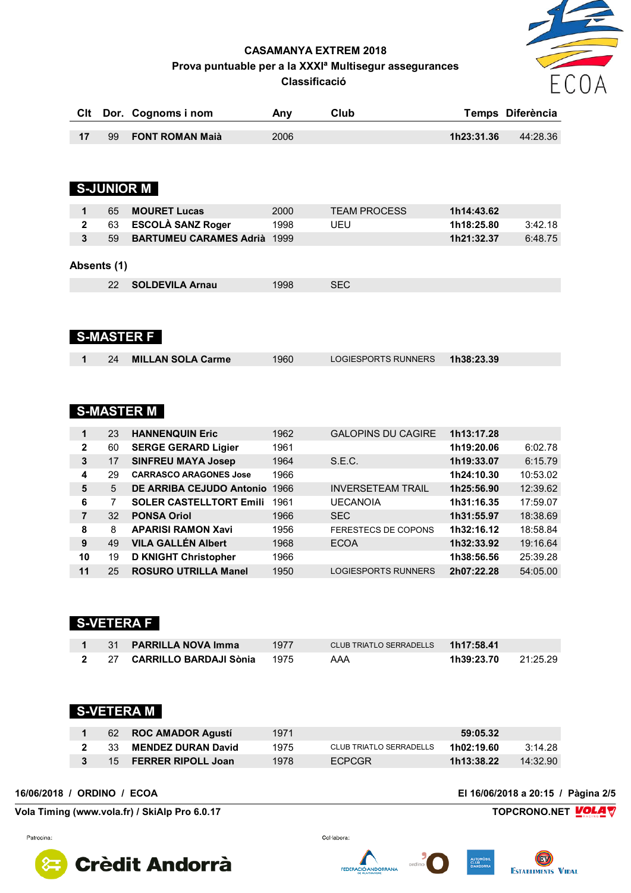# $FCC$

#### **CASAMANYA EXTREM 2018** Prova puntuable per a la XXXI<sup>ª</sup> Multisegur assegurances **Classificació**

| <b>Clt</b>     | Dor.           | Cognoms i nom                   | Any  | Club                       |            | Temps Diferència |
|----------------|----------------|---------------------------------|------|----------------------------|------------|------------------|
| 17             | 99             | <b>FONT ROMAN Maià</b>          | 2006 |                            | 1h23:31.36 | 44:28.36         |
|                |                | <b>S-JUNIOR M</b>               |      |                            |            |                  |
|                |                |                                 |      |                            |            |                  |
| $\mathbf{1}$   | 65             | <b>MOURET Lucas</b>             | 2000 | <b>TEAM PROCESS</b>        | 1h14:43.62 |                  |
| $\mathbf{2}$   | 63             | <b>ESCOLÀ SANZ Roger</b>        | 1998 | UEU                        | 1h18:25.80 | 3:42.18          |
| $\mathbf{3}$   | 59             | <b>BARTUMEU CARAMES Adrià</b>   | 1999 |                            | 1h21:32.37 | 6:48.75          |
|                |                |                                 |      |                            |            |                  |
|                | Absents (1)    |                                 |      |                            |            |                  |
|                | 22             | <b>SOLDEVILA Arnau</b>          | 1998 | <b>SEC</b>                 |            |                  |
|                |                |                                 |      |                            |            |                  |
|                |                |                                 |      |                            |            |                  |
|                |                |                                 |      |                            |            |                  |
|                |                | <b>S-MASTER F</b>               |      |                            |            |                  |
| 1              | 24             | <b>MILLAN SOLA Carme</b>        | 1960 | <b>LOGIESPORTS RUNNERS</b> | 1h38:23.39 |                  |
|                |                |                                 |      |                            |            |                  |
|                |                |                                 |      |                            |            |                  |
|                |                |                                 |      |                            |            |                  |
|                |                | <b>S-MASTER M</b>               |      |                            |            |                  |
| 1              | 23             | <b>HANNENQUIN Eric</b>          | 1962 | <b>GALOPINS DU CAGIRE</b>  | 1h13:17.28 |                  |
| $\mathbf 2$    | 60             | <b>SERGE GERARD Ligier</b>      | 1961 |                            | 1h19:20.06 | 6:02.78          |
| 3              | 17             | <b>SINFREU MAYA Josep</b>       | 1964 | S.E.C.                     | 1h19:33.07 | 6:15.79          |
| 4              | 29             | <b>CARRASCO ARAGONES Jose</b>   | 1966 |                            | 1h24:10.30 | 10:53.02         |
| 5              | 5              | <b>DE ARRIBA CEJUDO Antonio</b> | 1966 | <b>INVERSETEAM TRAIL</b>   | 1h25:56.90 | 12:39.62         |
| 6              | $\overline{7}$ | <b>SOLER CASTELLTORT Emili</b>  | 1961 | <b>UECANOIA</b>            | 1h31:16.35 | 17:59.07         |
| $\overline{7}$ | 32             | <b>PONSA Oriol</b>              | 1966 | <b>SEC</b>                 | 1h31:55.97 | 18:38.69         |
| 8              | 8              | <b>APARISI RAMON Xavi</b>       | 1956 | <b>FERESTECS DE COPONS</b> | 1h32:16.12 | 18:58.84         |
| 9              | 49             | <b>VILA GALLÉN Albert</b>       | 1968 | <b>ECOA</b>                | 1h32:33.92 | 19:16.64         |
| 10             | 19             | <b>D KNIGHT Christopher</b>     | 1966 |                            | 1h38:56.56 | 25:39.28         |
| 11             | 25             | <b>ROSURO UTRILLA Manel</b>     | 1950 | <b>LOGIESPORTS RUNNERS</b> | 2h07:22.28 | 54:05.00         |

## **S-VETERA F**

|  | 1 31 PARRILLA NOVA Imma          | 1977 | CLUB TRIATLO SERRADELLS 1h17:58.41 |                            |  |
|--|----------------------------------|------|------------------------------------|----------------------------|--|
|  | 2 27 CARRILLO BARDAJI Sònia 1975 |      | AAA                                | <b>1h39:23.70</b> 21:25.29 |  |

## **S-VETERA M**

|                 | 62 ROC AMADOR Agustí      | 1971 |                         | 59:05.32   |         |
|-----------------|---------------------------|------|-------------------------|------------|---------|
| - 33            | <b>MENDEZ DURAN David</b> | 1975 | CLUB TRIATLO SERRADELLS | 1h02:19.60 | 3:14.28 |
| 15 <sub>1</sub> | <b>FERRER RIPOLL Joan</b> | 1978 | <b>FCPCGR</b>           | 1h13:38.22 | 14.3290 |

16/06/2018 / ORDINO / ECOA

Patrocina

Vola Timing (www.vola.fr) / SkiAlp Pro 6.0.17

**Crèdit Andorrà** 

Col·labora:

El 16/06/2018 a 20:15 / Pàgina 2/5





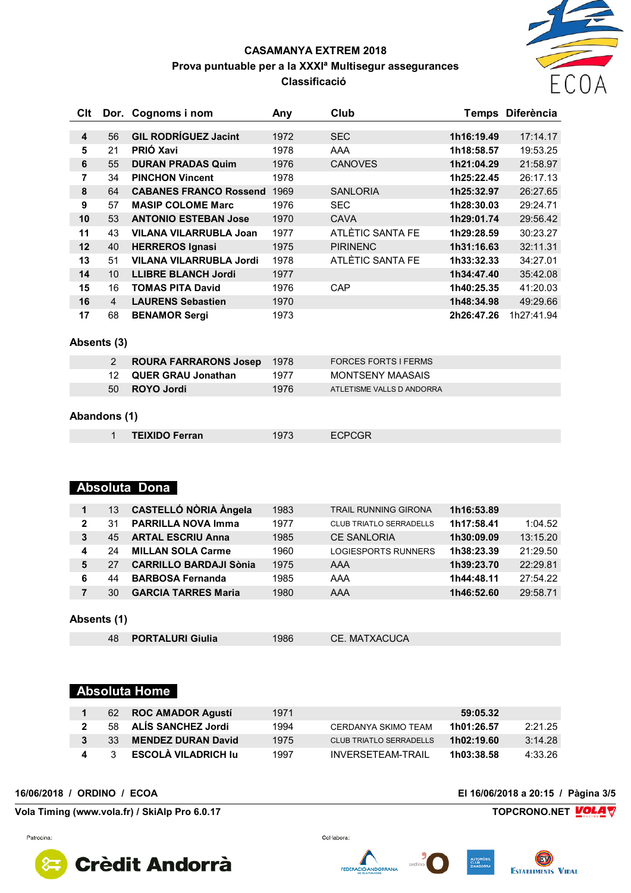

#### **CASAMANYA EXTREM 2018 Prova puntuable per a la XXXIª Multisegur assegurances Classificació**

| Clt |                | Dor. Cognoms i nom             | Any  | Club             | Temps      | <b>Diferència</b> |
|-----|----------------|--------------------------------|------|------------------|------------|-------------------|
|     |                |                                |      |                  |            |                   |
| 4   | 56             | <b>GIL RODRÍGUEZ Jacint</b>    | 1972 | <b>SEC</b>       | 1h16:19.49 | 17:14.17          |
| 5   | 21             | <b>PRIÓ Xavi</b>               | 1978 | AAA              | 1h18:58.57 | 19:53.25          |
| 6   | 55             | <b>DURAN PRADAS Quim</b>       | 1976 | <b>CANOVES</b>   | 1h21:04.29 | 21:58.97          |
| 7   | 34             | <b>PINCHON Vincent</b>         | 1978 |                  | 1h25:22.45 | 26:17.13          |
| 8   | 64             | <b>CABANES FRANCO Rossend</b>  | 1969 | <b>SANLORIA</b>  | 1h25:32.97 | 26:27.65          |
| 9   | 57             | <b>MASIP COLOME Marc</b>       | 1976 | <b>SEC</b>       | 1h28:30.03 | 29:24.71          |
| 10  | 53             | <b>ANTONIO ESTEBAN Jose</b>    | 1970 | <b>CAVA</b>      | 1h29:01.74 | 29:56.42          |
| 11  | 43             | <b>VILANA VILARRUBLA Joan</b>  | 1977 | ATLÈTIC SANTA FE | 1h29:28.59 | 30:23.27          |
| 12  | 40             | <b>HERREROS Ignasi</b>         | 1975 | <b>PIRINENC</b>  | 1h31:16.63 | 32:11.31          |
| 13  | 51             | <b>VILANA VILARRUBLA Jordi</b> | 1978 | ATLÈTIC SANTA FE | 1h33:32.33 | 34:27.01          |
| 14  | 10             | <b>LLIBRE BLANCH Jordi</b>     | 1977 |                  | 1h34:47.40 | 35:42.08          |
| 15  | 16             | <b>TOMAS PITA David</b>        | 1976 | CAP              | 1h40:25.35 | 41:20.03          |
| 16  | $\overline{4}$ | <b>LAURENS Sebastien</b>       | 1970 |                  | 1h48:34.98 | 49:29.66          |
| 17  | 68             | <b>BENAMOR Sergi</b>           | 1973 |                  | 2h26:47.26 | 1h27:41.94        |

#### **Absents (3)**

|    | <b>ROURA FARRARONS Josep</b> 1978 |      | FORCES FORTS I FERMS      |
|----|-----------------------------------|------|---------------------------|
|    | 12 QUER GRAU Jonathan             | 1977 | MONTSFNY MAASAIS          |
| 50 | ROYO Jordi                        | 1976 | ATLETISME VALLS D ANDORRA |

#### **Abandons (1)**

| <b>TEIXIDO Ferran</b> | 1973 | <b>ECPCGR</b> |
|-----------------------|------|---------------|
|                       |      |               |

#### **Absoluta Dona**

| 1            | 13 | <b>CASTELLÓ NÒRIA Àngela</b>  | 1983 | <b>TRAIL RUNNING GIRONA</b>    | 1h16:53.89 |          |
|--------------|----|-------------------------------|------|--------------------------------|------------|----------|
| $\mathbf{2}$ | 31 | <b>PARRILLA NOVA Imma</b>     | 1977 | <b>CLUB TRIATLO SERRADELLS</b> | 1h17:58.41 | 1:04.52  |
| 3            | 45 | <b>ARTAL ESCRIU Anna</b>      | 1985 | <b>CE SANLORIA</b>             | 1h30:09.09 | 13:15.20 |
| 4            | 24 | <b>MILLAN SOLA Carme</b>      | 1960 | <b>LOGIESPORTS RUNNERS</b>     | 1h38:23.39 | 21:29.50 |
| 5            | 27 | <b>CARRILLO BARDAJI Sònia</b> | 1975 | <b>AAA</b>                     | 1h39:23.70 | 22:29.81 |
| 6            | 44 | <b>BARBOSA Fernanda</b>       | 1985 | AAA                            | 1h44:48.11 | 27:54.22 |
|              | 30 | <b>GARCIA TARRES Maria</b>    | 1980 | <b>AAA</b>                     | 1h46:52.60 | 29:58.71 |
|              |    |                               |      |                                |            |          |
| Absents (1)  |    |                               |      |                                |            |          |

| <b>PORTALURI Giulia</b><br>CE. MATXACUCA<br>1986 |  |
|--------------------------------------------------|--|
|--------------------------------------------------|--|

## **Absoluta Home**

| 62  | <b>ROC AMADOR Agusti</b>   | 1971 |                                | 59:05.32   |         |
|-----|----------------------------|------|--------------------------------|------------|---------|
| 58. | ALÍS SANCHEZ Jordi         | 1994 | CERDANYA SKIMO TEAM            | 1h01:26.57 | 2:21.25 |
| 33  | <b>MENDEZ DURAN David</b>  | 1975 | <b>CLUB TRIATLO SERRADELLS</b> | 1h02:19.60 | 3:14.28 |
|     | <b>ESCOLÀ VILADRICH Iu</b> | 1997 | INVERSETFAM-TRAIL              | 1h03:38.58 | 4:33.26 |

Patrocina

**Vola Timing (www.vola.fr) / SkiAlp Pro 6.0.17 TOPCRONO.NET VOLA V** 

**16/06/2018 / ORDINO / ECOA El 16/06/2018 a 20:15 / Pàgina 3/5**

**Crèdit Andorrà** 

Col·labora:

**FEDER** 

CIÓ ANDORRANA

**ESTABLIMENTS VIDAL**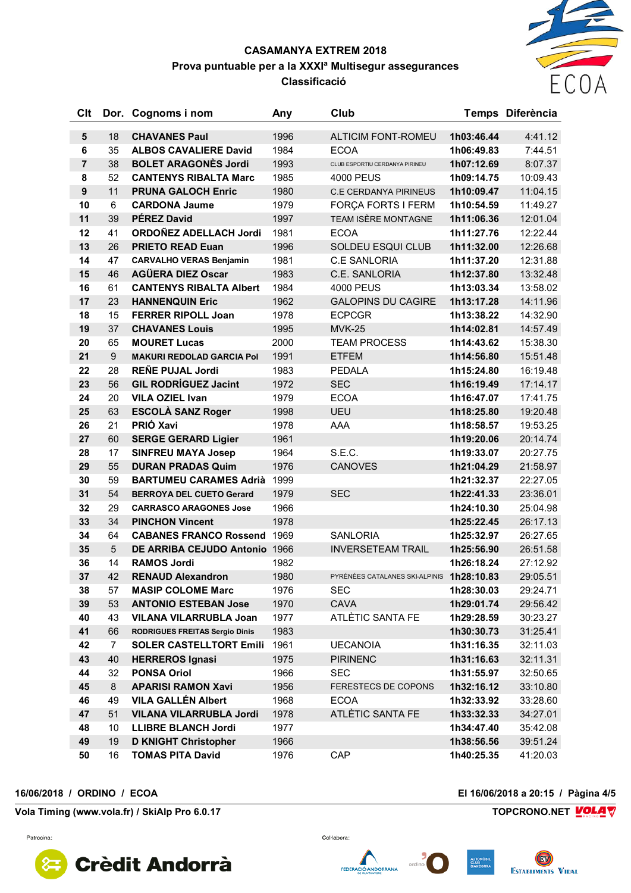## ECOA

#### **CASAMANYA EXTREM 2018 Prova puntuable per a la XXXIª Multisegur assegurances Classificació**

| Clt              |                 | Dor. Cognoms i nom                 | Any  | Club                                      |            | Temps Diferència |
|------------------|-----------------|------------------------------------|------|-------------------------------------------|------------|------------------|
| $5\phantom{1}$   | 18              | <b>CHAVANES Paul</b>               | 1996 | <b>ALTICIM FONT-ROMEU</b>                 | 1h03:46.44 | 4:41.12          |
| 6                | 35              | <b>ALBOS CAVALIERE David</b>       | 1984 | <b>ECOA</b>                               | 1h06:49.83 | 7:44.51          |
| $\overline{7}$   | 38              | <b>BOLET ARAGONÈS Jordi</b>        | 1993 | CLUB ESPORTIU CERDANYA PIRINEU            | 1h07:12.69 | 8:07.37          |
| 8                | 52              | <b>CANTENYS RIBALTA Marc</b>       | 1985 | 4000 PEUS                                 | 1h09:14.75 | 10:09.43         |
| $\boldsymbol{9}$ | 11              | <b>PRUNA GALOCH Enric</b>          | 1980 | <b>C.E CERDANYA PIRINEUS</b>              | 1h10:09.47 | 11:04.15         |
| 10               | 6               | <b>CARDONA Jaume</b>               | 1979 | FORÇA FORTS I FERM                        | 1h10:54.59 | 11:49.27         |
| 11               | 39              | <b>PÉREZ David</b>                 | 1997 | TEAM ISÈRE MONTAGNE                       | 1h11:06.36 | 12:01.04         |
| 12               | 41              | ORDOÑEZ ADELLACH Jordi             | 1981 | <b>ECOA</b>                               | 1h11:27.76 | 12:22.44         |
| 13               | 26              | <b>PRIETO READ Euan</b>            | 1996 | SOLDEU ESQUI CLUB                         | 1h11:32.00 | 12:26.68         |
| 14               | 47              | <b>CARVALHO VERAS Benjamin</b>     | 1981 | <b>C.E SANLORIA</b>                       | 1h11:37.20 | 12:31.88         |
| 15               | 46              | <b>AGÜERA DIEZ Oscar</b>           | 1983 | C.E. SANLORIA                             | 1h12:37.80 | 13:32.48         |
| 16               | 61              | <b>CANTENYS RIBALTA Albert</b>     | 1984 | <b>4000 PEUS</b>                          | 1h13:03.34 | 13:58.02         |
| 17               | 23              | <b>HANNENQUIN Eric</b>             | 1962 | <b>GALOPINS DU CAGIRE</b>                 | 1h13:17.28 | 14:11.96         |
| 18               | 15              | <b>FERRER RIPOLL Joan</b>          | 1978 | <b>ECPCGR</b>                             | 1h13:38.22 | 14:32.90         |
| 19               | 37              | <b>CHAVANES Louis</b>              | 1995 | <b>MVK-25</b>                             | 1h14:02.81 | 14:57.49         |
| 20               | 65              | <b>MOURET Lucas</b>                | 2000 | <b>TEAM PROCESS</b>                       | 1h14:43.62 | 15:38.30         |
| 21               | 9               | <b>MAKURI REDOLAD GARCIA Pol</b>   | 1991 | <b>ETFEM</b>                              | 1h14:56.80 | 15:51.48         |
| 22               | 28              | <b>REÑE PUJAL Jordi</b>            | 1983 | <b>PEDALA</b>                             | 1h15:24.80 | 16:19.48         |
| 23               | 56              | <b>GIL RODRÍGUEZ Jacint</b>        | 1972 | <b>SEC</b>                                | 1h16:19.49 | 17:14.17         |
| 24               | 20              | <b>VILA OZIEL Ivan</b>             | 1979 | <b>ECOA</b>                               | 1h16:47.07 | 17:41.75         |
| 25               | 63              | <b>ESCOLÀ SANZ Roger</b>           | 1998 | <b>UEU</b>                                | 1h18:25.80 | 19:20.48         |
| 26               | 21              | PRIÓ Xavi                          | 1978 | AAA                                       | 1h18:58.57 | 19:53.25         |
| 27               | 60              | <b>SERGE GERARD Ligier</b>         | 1961 |                                           | 1h19:20.06 | 20:14.74         |
| 28               | 17              | <b>SINFREU MAYA Josep</b>          | 1964 | S.E.C.                                    | 1h19:33.07 | 20:27.75         |
| 29               | 55              | <b>DURAN PRADAS Quim</b>           | 1976 | <b>CANOVES</b>                            | 1h21:04.29 | 21:58.97         |
| 30               | 59              | <b>BARTUMEU CARAMES Adrià</b>      | 1999 |                                           | 1h21:32.37 | 22:27.05         |
| 31               | 54              | <b>BERROYA DEL CUETO Gerard</b>    | 1979 | <b>SEC</b>                                | 1h22:41.33 | 23:36.01         |
| 32               | 29              | <b>CARRASCO ARAGONES Jose</b>      | 1966 |                                           | 1h24:10.30 | 25:04.98         |
| 33               | 34              | <b>PINCHON Vincent</b>             | 1978 |                                           | 1h25:22.45 | 26:17.13         |
| 34               | 64              | <b>CABANES FRANCO Rossend 1969</b> |      | <b>SANLORIA</b>                           | 1h25:32.97 | 26:27.65         |
| 35               | $5\phantom{.0}$ | DE ARRIBA CEJUDO Antonio 1966      |      | <b>INVERSETEAM TRAIL</b>                  | 1h25:56.90 | 26:51.58         |
| 36               | 14              | <b>RAMOS Jordi</b>                 | 1982 |                                           | 1h26:18.24 | 27:12.92         |
| 37               | 42              | <b>RENAUD Alexandron</b>           | 1980 | PYRÉNÉES CATALANES SKI-ALPINIS 1h28:10.83 |            | 29:05.51         |
| 38               | 57              | <b>MASIP COLOME Marc</b>           | 1976 | <b>SEC</b>                                | 1h28:30.03 | 29:24.71         |
| 39               | 53              | <b>ANTONIO ESTEBAN Jose</b>        | 1970 | <b>CAVA</b>                               | 1h29:01.74 | 29:56.42         |
| 40               | 43              | <b>VILANA VILARRUBLA Joan</b>      | 1977 | ATLÈTIC SANTA FE                          | 1h29:28.59 | 30:23.27         |
| 41               | 66              | RODRIGUES FREITAS Sergio Dinis     | 1983 |                                           | 1h30:30.73 | 31:25.41         |
| 42               | 7               | <b>SOLER CASTELLTORT Emili</b>     | 1961 | <b>UECANOIA</b>                           | 1h31:16.35 | 32:11.03         |
| 43               | 40              | <b>HERREROS Ignasi</b>             | 1975 | <b>PIRINENC</b>                           | 1h31:16.63 | 32:11.31         |
| 44               | 32              | <b>PONSA Oriol</b>                 | 1966 | <b>SEC</b>                                | 1h31:55.97 | 32:50.65         |
| 45               | 8               | <b>APARISI RAMON Xavi</b>          | 1956 | <b>FERESTECS DE COPONS</b>                | 1h32:16.12 | 33:10.80         |
| 46               | 49              | <b>VILA GALLÉN Albert</b>          | 1968 | <b>ECOA</b>                               | 1h32:33.92 | 33:28.60         |
| 47               | 51              | <b>VILANA VILARRUBLA Jordi</b>     | 1978 | ATLÈTIC SANTA FE                          | 1h33:32.33 | 34:27.01         |
| 48               | 10              | <b>LLIBRE BLANCH Jordi</b>         | 1977 |                                           | 1h34:47.40 | 35:42.08         |
| 49               | 19              | <b>D KNIGHT Christopher</b>        | 1966 |                                           | 1h38:56.56 | 39:51.24         |
| 50               | 16              | <b>TOMAS PITA David</b>            | 1976 | CAP                                       | 1h40:25.35 | 41:20.03         |

**16/06/2018 / ORDINO / ECOA El 16/06/2018 a 20:15 / Pàgina 4/5**

**Vola Timing (www.vola.fr) / SkiAlp Pro 6.0.17 TOPCRONO.NET**



Col·labora:

FEDERACIÓ ANDORRANA

ordino

AUTOMOR<br>CLUB<br>D'ANDOR **ESTABLIMENTS VIDAL**